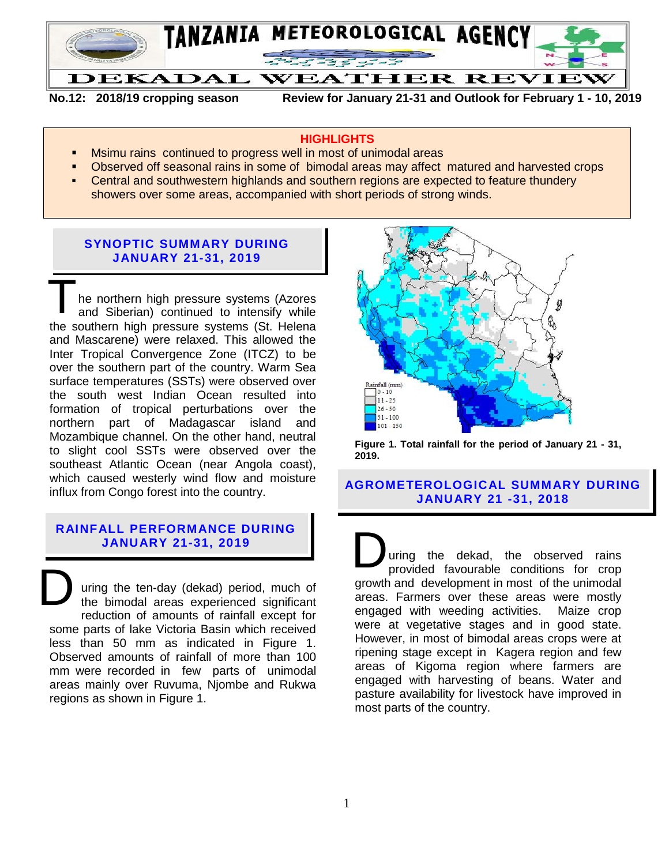

**No.12: 2018/19 cropping season Review for January 21-31 and Outlook for February 1 - 10, 2019**

#### **HIGHLIGHTS**

- Msimu rains continued to progress well in most of unimodal areas
- Observed off seasonal rains in some of bimodal areas may affect matured and harvested crops
- Central and southwestern highlands and southern regions are expected to feature thundery showers over some areas, accompanied with short periods of strong winds.

## **SYNOPTIC SUMMARY DURING JANUARY 21-31, 2019**

he northern high pressure systems (Azores and Siberian) continued to intensify while the southern high pressure systems (St. Helena and Mascarene) were relaxed. This allowed the Inter Tropical Convergence Zone (ITCZ) to be over the southern part of the country. Warm Sea surface temperatures (SSTs) were observed over the south west Indian Ocean resulted into formation of tropical perturbations over the northern part of Madagascar island and Mozambique channel. On the other hand, neutral to slight cool SSTs were observed over the southeast Atlantic Ocean (near Angola coast), which caused westerly wind flow and moisture influx from Congo forest into the country. T

# **RAINFALL PERFORMANCE DURING JANUARY 21-31, 2019**

uring the ten-day (dekad) period, much of the bimodal areas experienced significant reduction of amounts of rainfall except for some parts of lake Victoria Basin which received less than 50 mm as indicated in Figure 1. Observed amounts of rainfall of more than 100 mm were recorded in few parts of unimodal areas mainly over Ruvuma, Njombe and Rukwa regions as shown in Figure 1. D



**Figure 1. Total rainfall for the period of January 21 - 31, 2019.**

# **AGROMETEROLOGICAL SUMMARY DURING JANUARY 21 -31, 2018**

uring the dekad, the observed rains provided favourable conditions for crop growth and development in most of the unimodal areas. Farmers over these areas were mostly engaged with weeding activities. Maize crop were at vegetative stages and in good state. However, in most of bimodal areas crops were at ripening stage except in Kagera region and few areas of Kigoma region where farmers are engaged with harvesting of beans. Water and pasture availability for livestock have improved in most parts of the country. D